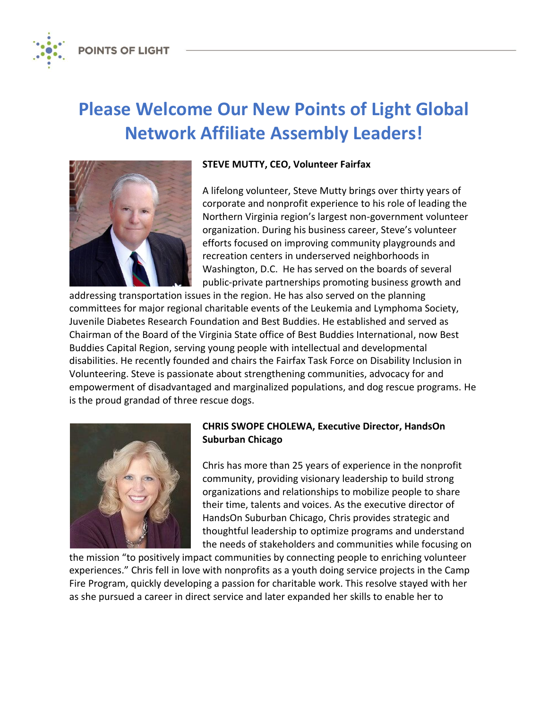**POINTS OF LIGHT** 

# **Please Welcome Our New Points of Light Global Network Affiliate Assembly Leaders!**



## **STEVE MUTTY, CEO, Volunteer Fairfax**

A lifelong volunteer, Steve Mutty brings over thirty years of corporate and nonprofit experience to his role of leading the Northern Virginia region's largest non-government volunteer organization. During his business career, Steve's volunteer efforts focused on improving community playgrounds and recreation centers in underserved neighborhoods in Washington, D.C. He has served on the boards of several public-private partnerships promoting business growth and

addressing transportation issues in the region. He has also served on the planning committees for major regional charitable events of the Leukemia and Lymphoma Society, Juvenile Diabetes Research Foundation and Best Buddies. He established and served as Chairman of the Board of the Virginia State office of Best Buddies International, now Best Buddies Capital Region, serving young people with intellectual and developmental disabilities. He recently founded and chairs the Fairfax Task Force on Disability Inclusion in Volunteering. Steve is passionate about strengthening communities, advocacy for and empowerment of disadvantaged and marginalized populations, and dog rescue programs. He is the proud grandad of three rescue dogs.



## **CHRIS SWOPE CHOLEWA, Executive Director, HandsOn Suburban Chicago**

Chris has more than 25 years of experience in the nonprofit community, providing visionary leadership to build strong organizations and relationships to mobilize people to share their time, talents and voices. As the executive director of HandsOn Suburban Chicago, Chris provides strategic and thoughtful leadership to optimize programs and understand the needs of stakeholders and communities while focusing on

the mission "to positively impact communities by connecting people to enriching volunteer experiences." Chris fell in love with nonprofits as a youth doing service projects in the Camp Fire Program, quickly developing a passion for charitable work. This resolve stayed with her as she pursued a career in direct service and later expanded her skills to enable her to